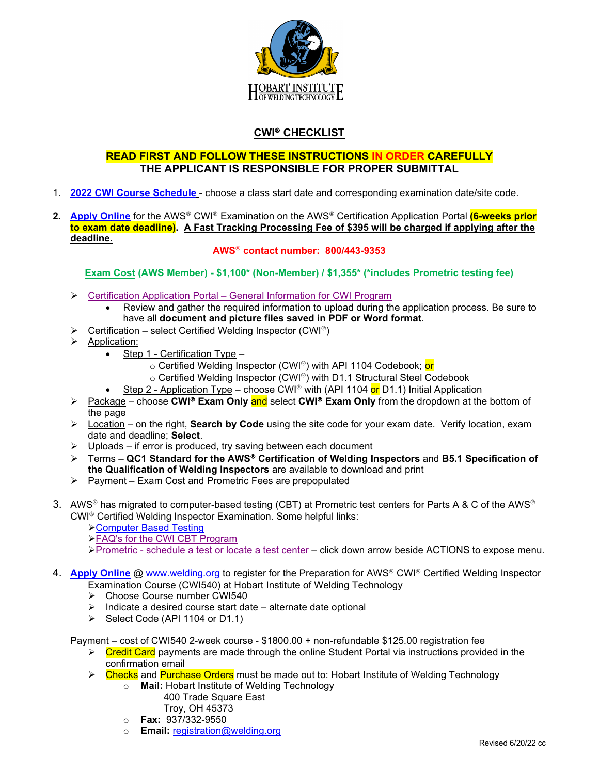

## **CWI® CHECKLIST**

## **READ FIRST AND FOLLOW THESE INSTRUCTIONS IN ORDER CAREFULLY THE APPLICANT IS RESPONSIBLE FOR PROPER SUBMITTAL**

- 1. **2022 [CWI Course Schedule](https://www.welding.org/wp-content/uploads/2021/05/2022-CWI-Exam-Dates-Site-Codes-090221-1.pdf)** choose a class start date and corresponding examination date/site code.
- **2. [Apply Online](https://awsprodportal.aws.org/Login.aspx?ReturnUrl=/?_ga=2.179698466.701898983.1547668050-1024942463.1546605845)** for the AWS<sup>®</sup> CWI<sup>®</sup> Examination on the AWS<sup>®</sup> Certification Application Portal **(6-weeks prior to exam date deadline). A Fast Tracking Processing Fee of \$395 will be charged if applying after the deadline.**

**AWS contact number: 800/443-9353**

**Exam Cost (AWS Member) - \$1,100\* (Non-Member) / \$1,355\* (\*includes Prometric testing fee)**

- Certification Application Portal [General Information for CWI Program](https://www.aws.org/certification/page/certification-application-portal-general-information-for-cwi-program?_ga=2.245462020.1873773917.1550077258-1024942463.1546605845)
	- Review and gather the required information to upload during the application process. Be sure to have all **document and picture files saved in PDF or Word format**.
- $\triangleright$  Certification select Certified Welding Inspector (CWI®)
- $\triangleright$  Application:
	- Step 1 Certification Type
		- o Certified Welding Inspector (CWI®) with API 1104 Codebook; or
		- $\circ$  Certified Welding Inspector (CWI®) with D1.1 Structural Steel Codebook
	- Step 2 Application Type choose CWI® with (API 1104 or D1.1) Initial Application
- **EXALC + 2** Package choose CWI<sup>®</sup> Exam Only and select CWI<sup>®</sup> Exam Only from the dropdown at the bottom of the page
- Location on the right, **Search by Code** using the site code for your exam date. Verify location, exam date and deadline; **Select**.
- $\triangleright$  Uploads if error is produced, try saving between each document
- Terms **QC1 Standard for the AWS Certification of Welding Inspectors** and **B5.1 Specification of the Qualification of Welding Inspectors** are available to download and print
- $\triangleright$  Payment Exam Cost and Prometric Fees are prepopulated
- 3. AWS<sup>®</sup> has migrated to computer-based testing (CBT) at Prometric test centers for Parts A & C of the AWS<sup>®</sup> CWI<sup>®</sup> Certified Welding Inspector Examination. Some helpful links:
	- [Computer Based Testing](https://www.aws.org/certification/page/computer-based-testing)
	- [FAQ's for the CWI CBT Program](https://www.aws.org/certification/page/faqs-for-the-cwi-cbt-program)
	- Prometric [schedule a test or locate a test center](https://www.prometric.com/en-us/clients/aws/Pages/landing.aspx) click down arrow beside ACTIONS to expose menu.

## 4. **[Apply Online](https://salesforceintegration.na1.adobesign.com/public/esignWidget?wid=CBFCIBAA3AAABLblqZhClrXFS-3BOhhQ0XNjuxzd8mazkukzwAa0KbDmDwYqulQd5SVsDYp_ysjTTPINTOXw*)** @ [www.welding.org](http://www.welding.org/) to register for the Preparation for AWS<sup>®</sup> CWI<sup>®</sup> Certified Welding Inspector Examination Course (CWI540) at Hobart Institute of Welding Technology

- Choose Course number CWI540
- $\triangleright$  Indicate a desired course start date alternate date optional
- $\triangleright$  Select Code (API 1104 or D1.1)

Payment – cost of CWI540 2-week course - \$1800.00 + non-refundable \$125.00 registration fee

- $\triangleright$  Credit Card payments are made through the online Student Portal via instructions provided in the confirmation email
- $\triangleright$  Checks and Purchase Orders must be made out to: Hobart Institute of Welding Technology
	- o **Mail:** Hobart Institute of Welding Technology
		- 400 Trade Square East Troy, OH 45373
	- o **Fax:** 937/332-9550
	- o **Email:** [registration@welding.org](mailto:registration@welding.org)